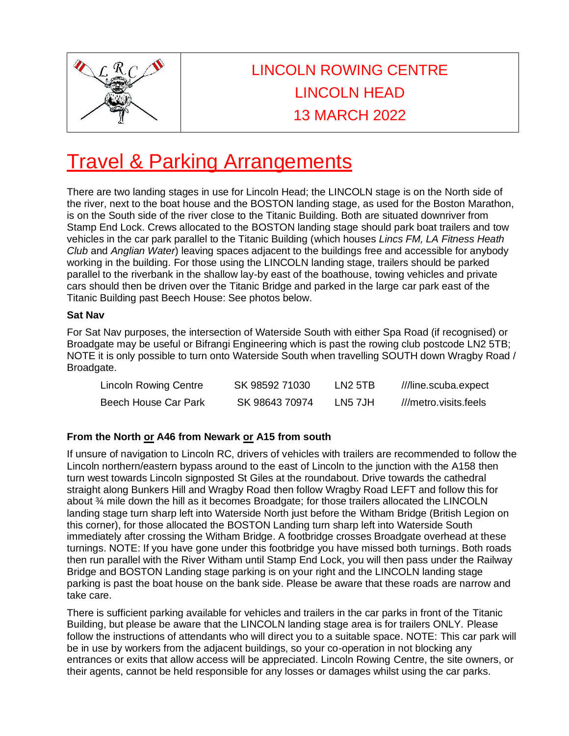

# LINCOLN ROWING CENTRE LINCOLN HEAD 13 MARCH 2022

# **Travel & Parking Arrangements**

There are two landing stages in use for Lincoln Head; the LINCOLN stage is on the North side of the river, next to the boat house and the BOSTON landing stage, as used for the Boston Marathon, is on the South side of the river close to the Titanic Building. Both are situated downriver from Stamp End Lock. Crews allocated to the BOSTON landing stage should park boat trailers and tow vehicles in the car park parallel to the Titanic Building (which houses *Lincs FM, LA Fitness Heath Club* and *Anglian Water*) leaving spaces adjacent to the buildings free and accessible for anybody working in the building. For those using the LINCOLN landing stage, trailers should be parked parallel to the riverbank in the shallow lay-by east of the boathouse, towing vehicles and private cars should then be driven over the Titanic Bridge and parked in the large car park east of the Titanic Building past Beech House: See photos below.

#### **Sat Nav**

For Sat Nav purposes, the intersection of Waterside South with either Spa Road (if recognised) or Broadgate may be useful or Bifrangi Engineering which is past the rowing club postcode LN2 5TB; NOTE it is only possible to turn onto Waterside South when travelling SOUTH down Wragby Road / Broadgate.

| Lincoln Rowing Centre | SK 98592 71030 | LN2 5TB | ///line.scuba.expect  |
|-----------------------|----------------|---------|-----------------------|
| Beech House Car Park  | SK 98643 70974 | LN5 7JH | ///metro.visits.feels |

## **From the North or A46 from Newark or A15 from south**

If unsure of navigation to Lincoln RC, drivers of vehicles with trailers are recommended to follow the Lincoln northern/eastern bypass around to the east of Lincoln to the junction with the A158 then turn west towards Lincoln signposted St Giles at the roundabout. Drive towards the cathedral straight along Bunkers Hill and Wragby Road then follow Wragby Road LEFT and follow this for about ¾ mile down the hill as it becomes Broadgate; for those trailers allocated the LINCOLN landing stage turn sharp left into Waterside North just before the Witham Bridge (British Legion on this corner), for those allocated the BOSTON Landing turn sharp left into Waterside South immediately after crossing the Witham Bridge. A footbridge crosses Broadgate overhead at these turnings. NOTE: If you have gone under this footbridge you have missed both turnings. Both roads then run parallel with the River Witham until Stamp End Lock, you will then pass under the Railway Bridge and BOSTON Landing stage parking is on your right and the LINCOLN landing stage parking is past the boat house on the bank side. Please be aware that these roads are narrow and take care.

There is sufficient parking available for vehicles and trailers in the car parks in front of the Titanic Building, but please be aware that the LINCOLN landing stage area is for trailers ONLY. Please follow the instructions of attendants who will direct you to a suitable space. NOTE: This car park will be in use by workers from the adjacent buildings, so your co-operation in not blocking any entrances or exits that allow access will be appreciated. Lincoln Rowing Centre, the site owners, or their agents, cannot be held responsible for any losses or damages whilst using the car parks.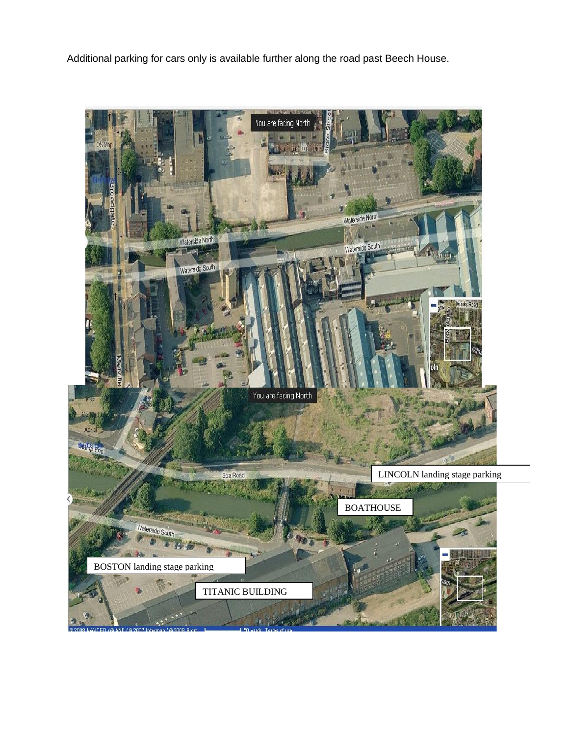Additional parking for cars only is available further along the road past Beech House.